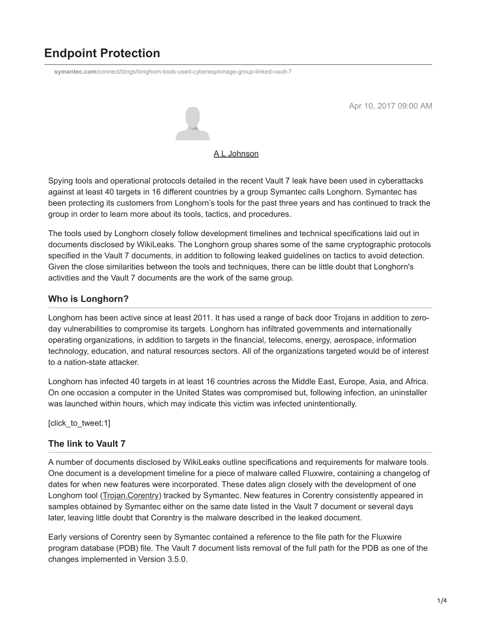# **Endpoint Protection**

**symantec.com**[/connect/blogs/longhorn-tools-used-cyberespionage-group-linked-vault-7](https://www.symantec.com/connect/blogs/longhorn-tools-used-cyberespionage-group-linked-vault-7)



Apr 10, 2017 09:00 AM

[A L Johnson](https://community.broadcom.com/symantecenterprise/network/members/profile?UserKey=cbd453fd-3ce1-4c47-af77-d746256f9bc4)

Spying tools and operational protocols detailed in the recent Vault 7 leak have been used in cyberattacks against at least 40 targets in 16 different countries by a group Symantec calls Longhorn. Symantec has been protecting its customers from Longhorn's tools for the past three years and has continued to track the group in order to learn more about its tools, tactics, and procedures.

The tools used by Longhorn closely follow development timelines and technical specifications laid out in documents disclosed by WikiLeaks. The Longhorn group shares some of the same cryptographic protocols specified in the Vault 7 documents, in addition to following leaked guidelines on tactics to avoid detection. Given the close similarities between the tools and techniques, there can be little doubt that Longhorn's activities and the Vault 7 documents are the work of the same group.

### **Who is Longhorn?**

Longhorn has been active since at least 2011. It has used a range of back door Trojans in addition to zeroday vulnerabilities to compromise its targets. Longhorn has infiltrated governments and internationally operating organizations, in addition to targets in the financial, telecoms, energy, aerospace, information technology, education, and natural resources sectors. All of the organizations targeted would be of interest to a nation-state attacker.

Longhorn has infected 40 targets in at least 16 countries across the Middle East, Europe, Asia, and Africa. On one occasion a computer in the United States was compromised but, following infection, an uninstaller was launched within hours, which may indicate this victim was infected unintentionally.

[click\_to\_tweet:1]

## **The link to Vault 7**

A number of documents disclosed by WikiLeaks outline specifications and requirements for malware tools. One document is a development timeline for a piece of malware called Fluxwire, containing a changelog of dates for when new features were incorporated. These dates align closely with the development of one Longhorn tool ([Trojan.Corentry\)](https://www.symantec.com/security_response/writeup.jsp?docid=2015-111823-1849-99) tracked by Symantec. New features in Corentry consistently appeared in samples obtained by Symantec either on the same date listed in the Vault 7 document or several days later, leaving little doubt that Corentry is the malware described in the leaked document.

Early versions of Corentry seen by Symantec contained a reference to the file path for the Fluxwire program database (PDB) file. The Vault 7 document lists removal of the full path for the PDB as one of the changes implemented in Version 3.5.0.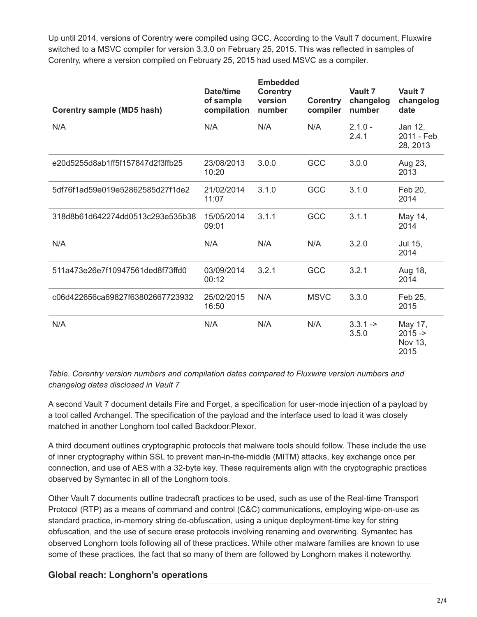Up until 2014, versions of Corentry were compiled using GCC. According to the Vault 7 document, Fluxwire switched to a MSVC compiler for version 3.3.0 on February 25, 2015. This was reflected in samples of Corentry, where a version compiled on February 25, 2015 had used MSVC as a compiler.

| <b>Corentry sample (MD5 hash)</b> | Date/time<br>of sample<br>compilation | <b>Embedded</b><br><b>Corentry</b><br>version<br>number | <b>Corentry</b><br>compiler | Vault 7<br>changelog<br>number | Vault 7<br>changelog<br>date           |
|-----------------------------------|---------------------------------------|---------------------------------------------------------|-----------------------------|--------------------------------|----------------------------------------|
| N/A                               | N/A                                   | N/A                                                     | N/A                         | $2.1.0 -$<br>2.4.1             | Jan 12,<br>2011 - Feb<br>28, 2013      |
| e20d5255d8ab1ff5f157847d2f3ffb25  | 23/08/2013<br>10:20                   | 3.0.0                                                   | GCC                         | 3.0.0                          | Aug 23,<br>2013                        |
| 5df76f1ad59e019e52862585d27f1de2  | 21/02/2014<br>11:07                   | 3.1.0                                                   | GCC                         | 3.1.0                          | Feb 20,<br>2014                        |
| 318d8b61d642274dd0513c293e535b38  | 15/05/2014<br>09:01                   | 3.1.1                                                   | GCC                         | 3.1.1                          | May 14,<br>2014                        |
| N/A                               | N/A                                   | N/A                                                     | N/A                         | 3.2.0                          | Jul 15,<br>2014                        |
| 511a473e26e7f10947561ded8f73ffd0  | 03/09/2014<br>00:12                   | 3.2.1                                                   | GCC                         | 3.2.1                          | Aug 18,<br>2014                        |
| c06d422656ca69827f63802667723932  | 25/02/2015<br>16:50                   | N/A                                                     | <b>MSVC</b>                 | 3.3.0                          | Feb 25,<br>2015                        |
| N/A                               | N/A                                   | N/A                                                     | N/A                         | $3.3.1 - >$<br>3.5.0           | May 17,<br>$2015 -$<br>Nov 13,<br>2015 |

*Table. Corentry version numbers and compilation dates compared to Fluxwire version numbers and changelog dates disclosed in Vault 7*

A second Vault 7 document details Fire and Forget, a specification for user-mode injection of a payload by a tool called Archangel. The specification of the payload and the interface used to load it was closely matched in another Longhorn tool called **Backdoor. Plexor.** 

A third document outlines cryptographic protocols that malware tools should follow. These include the use of inner cryptography within SSL to prevent man-in-the-middle (MITM) attacks, key exchange once per connection, and use of AES with a 32-byte key. These requirements align with the cryptographic practices observed by Symantec in all of the Longhorn tools.

Other Vault 7 documents outline tradecraft practices to be used, such as use of the Real-time Transport Protocol (RTP) as a means of command and control (C&C) communications, employing wipe-on-use as standard practice, in-memory string de-obfuscation, using a unique deployment-time key for string obfuscation, and the use of secure erase protocols involving renaming and overwriting. Symantec has observed Longhorn tools following all of these practices. While other malware families are known to use some of these practices, the fact that so many of them are followed by Longhorn makes it noteworthy.

#### **Global reach: Longhorn's operations**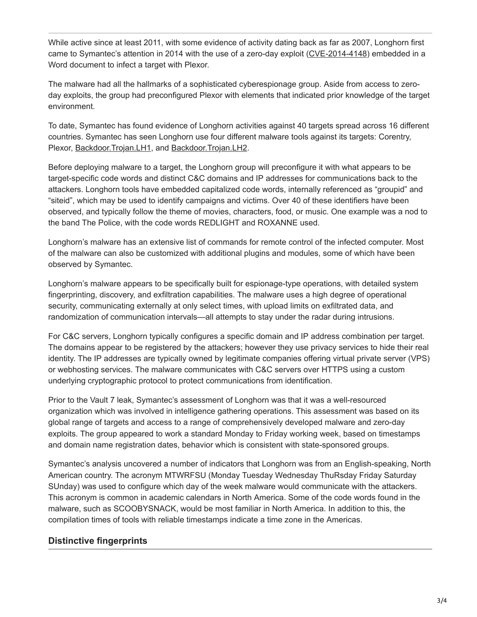While active since at least 2011, with some evidence of activity dating back as far as 2007, Longhorn first came to Symantec's attention in 2014 with the use of a zero-day exploit [\(CVE-2014-4148](http://www.cve.mitre.org/cgi-bin/cvename.cgi?name=cve-2014-4148)) embedded in a Word document to infect a target with Plexor.

The malware had all the hallmarks of a sophisticated cyberespionage group. Aside from access to zeroday exploits, the group had preconfigured Plexor with elements that indicated prior knowledge of the target environment.

To date, Symantec has found evidence of Longhorn activities against 40 targets spread across 16 different countries. Symantec has seen Longhorn use four different malware tools against its targets: Corentry, Plexor, [Backdoor.Trojan.LH1,](https://www.symantec.com/security_response/writeup.jsp?docid=2017-040703-1537-99) and [Backdoor.Trojan.LH2](https://www.symantec.com/security_response/writeup.jsp?docid=2015-082518-2117-99).

Before deploying malware to a target, the Longhorn group will preconfigure it with what appears to be target-specific code words and distinct C&C domains and IP addresses for communications back to the attackers. Longhorn tools have embedded capitalized code words, internally referenced as "groupid" and "siteid", which may be used to identify campaigns and victims. Over 40 of these identifiers have been observed, and typically follow the theme of movies, characters, food, or music. One example was a nod to the band The Police, with the code words REDLIGHT and ROXANNE used.

Longhorn's malware has an extensive list of commands for remote control of the infected computer. Most of the malware can also be customized with additional plugins and modules, some of which have been observed by Symantec.

Longhorn's malware appears to be specifically built for espionage-type operations, with detailed system fingerprinting, discovery, and exfiltration capabilities. The malware uses a high degree of operational security, communicating externally at only select times, with upload limits on exfiltrated data, and randomization of communication intervals—all attempts to stay under the radar during intrusions.

For C&C servers, Longhorn typically configures a specific domain and IP address combination per target. The domains appear to be registered by the attackers; however they use privacy services to hide their real identity. The IP addresses are typically owned by legitimate companies offering virtual private server (VPS) or webhosting services. The malware communicates with C&C servers over HTTPS using a custom underlying cryptographic protocol to protect communications from identification.

Prior to the Vault 7 leak, Symantec's assessment of Longhorn was that it was a well-resourced organization which was involved in intelligence gathering operations. This assessment was based on its global range of targets and access to a range of comprehensively developed malware and zero-day exploits. The group appeared to work a standard Monday to Friday working week, based on timestamps and domain name registration dates, behavior which is consistent with state-sponsored groups.

Symantec's analysis uncovered a number of indicators that Longhorn was from an English-speaking, North American country. The acronym MTWRFSU (Monday Tuesday Wednesday ThuRsday Friday Saturday SUnday) was used to configure which day of the week malware would communicate with the attackers. This acronym is common in academic calendars in North America. Some of the code words found in the malware, such as SCOOBYSNACK, would be most familiar in North America. In addition to this, the compilation times of tools with reliable timestamps indicate a time zone in the Americas.

#### **Distinctive fingerprints**